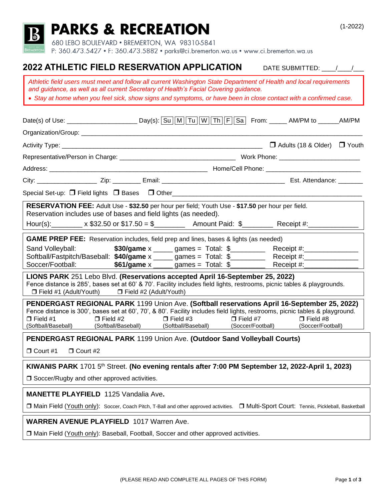# City: \_\_\_\_\_\_\_\_\_\_\_\_\_\_\_\_\_ Zip: \_\_\_\_\_\_\_\_ Email: \_\_\_\_\_\_\_\_\_\_\_\_\_\_\_\_\_\_\_\_\_\_\_\_\_\_\_\_\_\_\_\_\_\_\_ Est. Attendance: \_\_\_\_\_\_\_ Special Set-up:  $\Box$  Field lights  $\Box$  Bases  $\Box$  Other

Address: \_\_\_\_\_\_\_\_\_\_\_\_\_\_\_\_\_\_\_\_\_\_\_\_\_\_\_\_\_\_\_\_\_\_\_\_\_\_\_\_\_\_\_\_\_ Home/Cell Phone: \_\_\_\_\_\_\_\_\_\_\_\_\_\_\_\_\_\_\_\_\_\_\_\_\_\_\_

| RESERVATION FEE: Adult Use - \$32.50 per hour per field; Youth Use - \$17.50 per hour per field. |                             |                 |            |  |  |  |
|--------------------------------------------------------------------------------------------------|-----------------------------|-----------------|------------|--|--|--|
| Reservation includes use of bases and field lights (as needed).                                  |                             |                 |            |  |  |  |
| Hour(s):                                                                                         | $x$ \$32.50 or \$17.50 = \$ | Amount Paid: \$ | Receipt #: |  |  |  |

| <b>GAME PREP FEE:</b> Reservation includes, field prep and lines, bases & lights (as needed) |                      |                     |            |  |  |  |
|----------------------------------------------------------------------------------------------|----------------------|---------------------|------------|--|--|--|
| Sand Volleyball:                                                                             | $$30/game \times \_$ | games = $Total:$ \$ | Receipt #: |  |  |  |
| Softball/Fastpitch/Baseball: \$40/game x                                                     |                      | games = $Total:$ \$ | Receipt #: |  |  |  |
| Soccer/Football:                                                                             | \$61/game x          | games = $Total:$ \$ | Receipt #: |  |  |  |

**LIONS PARK** 251 Lebo Blvd. **(Reservations accepted April 16-September 25, 2022)** Fence distance is 285', bases set at 60' & 70'. Facility includes field lights, restrooms, picnic tables & playgrounds.  $\Box$  Field #1 (Adult/Youth)  $\Box$  Field #2 (Adult/Youth)

| <b>PENDERGAST REGIONAL PARK</b> 1199 Union Ave. (Softball reservations April 16-September 25, 2022)                          |                   |  |  |  |  |  |  |  |
|------------------------------------------------------------------------------------------------------------------------------|-------------------|--|--|--|--|--|--|--|
| Fence distance is 300', bases set at 60', 70', & 80'. Facility includes field lights, restrooms, picnic tables & playground. |                   |  |  |  |  |  |  |  |
| $\Box$ Field #1<br>$\Box$ Field #7<br>$\Box$ Field #3<br>$\Box$ Field #2                                                     | $\Box$ Field #8   |  |  |  |  |  |  |  |
| (Soccer/Football)<br>(Softball/Baseball)<br>(Softball/Baseball)<br>(Softball/Baseball)                                       | (Soccer/Football) |  |  |  |  |  |  |  |

**PENDERGAST REGIONAL PARK** 1199 Union Ave. **(Outdoor Sand Volleyball Courts)**

Court #1 Court #2

**KIWANIS PARK** 1701 5th Street. **(No evening rentals after 7:00 PM September 12, 2022-April 1, 2023)**  $\square$  Soccer/Rugby and other approved activities.

**MANETTE PLAYFIELD** 1125 Vandalia Ave**.**

□ Main Field (Youth only): Soccer, Coach Pitch, T-Ball and other approved activities. □ Multi-Sport Court: Tennis, Pickleball, Basketball

# **WARREN AVENUE PLAYFIELD** 1017 Warren Ave.

Main Field (Youth only): Baseball, Football, Soccer and other approved activities.

Organization/Group:

**PARKS & RECREATION** (1-2022)

680 LEBO BOULEVARD · BREMERTON, WA 98310-5841

*and guidance, as well as all current Secretary of Health's Facial Covering guidance.*

P: 360.473.5427 • F: 360.473.5882 • parks@ci.bremerton.wa.us • www.ci.bremerton.wa.us

**2022 ATHLETIC FIELD RESERVATION APPLICATION** DATE SUBMITTED: \_\_\_\_/\_\_\_\_/\_\_\_

*Athletic field users must meet and follow all current Washington State Department of Health and local requirements* 

• *Stay at home when you feel sick, show signs and symptoms, or have been in close contact with a confirmed case.*

Date(s) of Use: \_\_\_\_\_\_\_\_\_\_\_\_\_\_\_\_\_\_\_\_\_\_\_\_\_\_\_Day(s): Su | M | Tu | W | Th | F | Sa | From: \_\_\_\_\_\_ AM/PM to \_\_\_\_\_\_AM/PM

Activity Type: \_\_\_\_\_\_\_\_\_\_\_\_\_\_\_\_\_\_\_\_\_\_\_\_\_\_\_\_\_\_\_\_\_\_\_\_\_\_\_\_\_\_\_\_\_\_\_\_\_\_\_\_\_\_\_\_\_ Adults (18 & Older) Youth Representative/Person in Charge: \_\_\_\_\_\_\_\_\_\_\_\_\_\_\_\_\_\_\_\_\_\_\_\_\_\_\_\_\_\_\_\_\_ Work Phone: \_\_\_\_\_\_\_\_\_\_\_\_\_\_\_\_\_\_\_\_\_\_\_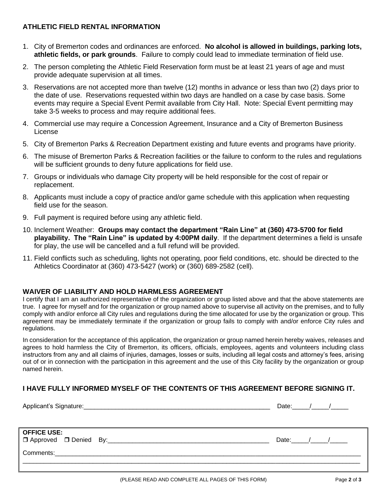#### **ATHLETIC FIELD RENTAL INFORMATION**

- 1. City of Bremerton codes and ordinances are enforced. **No alcohol is allowed in buildings, parking lots, athletic fields, or park grounds**. Failure to comply could lead to immediate termination of field use.
- 2. The person completing the Athletic Field Reservation form must be at least 21 years of age and must provide adequate supervision at all times.
- 3. Reservations are not accepted more than twelve (12) months in advance or less than two (2) days prior to the date of use. Reservations requested within two days are handled on a case by case basis. Some events may require a Special Event Permit available from City Hall. Note: Special Event permitting may take 3-5 weeks to process and may require additional fees.
- 4. Commercial use may require a Concession Agreement, Insurance and a City of Bremerton Business License
- 5. City of Bremerton Parks & Recreation Department existing and future events and programs have priority.
- 6. The misuse of Bremerton Parks & Recreation facilities or the failure to conform to the rules and regulations will be sufficient grounds to deny future applications for field use.
- 7. Groups or individuals who damage City property will be held responsible for the cost of repair or replacement.
- 8. Applicants must include a copy of practice and/or game schedule with this application when requesting field use for the season.
- 9. Full payment is required before using any athletic field.
- 10. Inclement Weather: **Groups may contact the department "Rain Line" at (360) 473-5700 for field playability. The "Rain Line" is updated by 4:00PM daily**. If the department determines a field is unsafe for play, the use will be cancelled and a full refund will be provided.
- 11. Field conflicts such as scheduling, lights not operating, poor field conditions, etc. should be directed to the Athletics Coordinator at (360) 473-5427 (work) or (360) 689-2582 (cell).

### **WAIVER OF LIABILITY AND HOLD HARMLESS AGREEMENT**

I certify that I am an authorized representative of the organization or group listed above and that the above statements are true. I agree for myself and for the organization or group named above to supervise all activity on the premises, and to fully comply with and/or enforce all City rules and regulations during the time allocated for use by the organization or group. This agreement may be immediately terminate if the organization or group fails to comply with and/or enforce City rules and regulations.

In consideration for the acceptance of this application, the organization or group named herein hereby waives, releases and agrees to hold harmless the City of Bremerton, its officers, officials, employees, agents and volunteers including class instructors from any and all claims of injuries, damages, losses or suits, including all legal costs and attorney's fees, arising out of or in connection with the participation in this agreement and the use of this City facility by the organization or group named herein.

### **I HAVE FULLY INFORMED MYSELF OF THE CONTENTS OF THIS AGREEMENT BEFORE SIGNING IT.**

|                    | Date: $/$ /                   |  |
|--------------------|-------------------------------|--|
| <b>OFFICE USE:</b> | Date: $\frac{1}{\sqrt{2\pi}}$ |  |
|                    |                               |  |